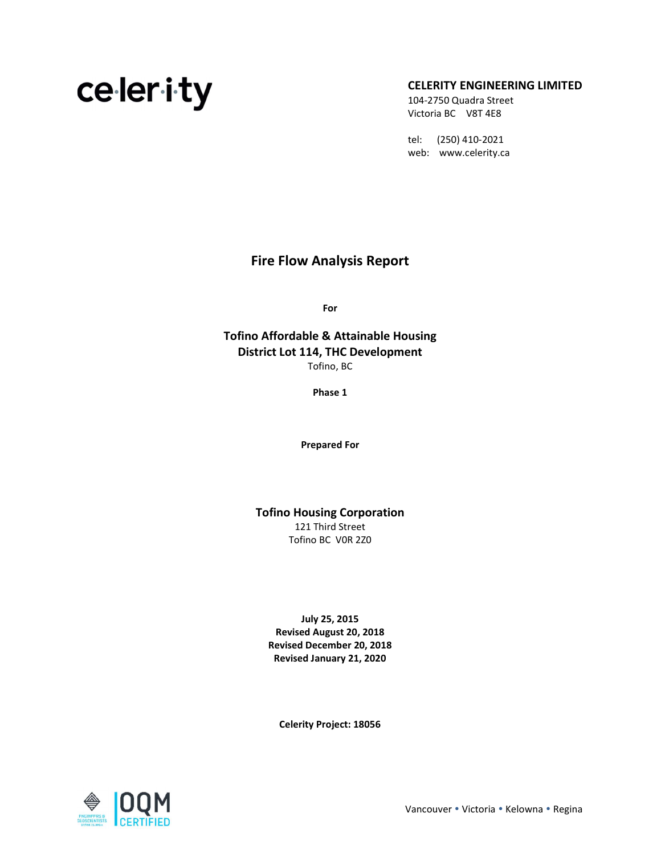# 104-2750 Quadra Street

### $\epsilon$   $\alpha$ ,  $\alpha$ ,  $\alpha$

Victoria BC V8T 4E8

 tel: (250) 410-2021 web: www.celerity.ca

### Fire Flow Analysis Report

For

Tofino Affordable & Attainable Housing District Lot 114, THC Development Tofino, BC

Phase 1

Prepared For

Tofino Housing Corporation

121 Third Street Tofino BC V0R 2Z0

July 25, 2015 Revised August 20, 2018 Revised December 20, 2018 Revised January 21, 2020

Celerity Project: 18056

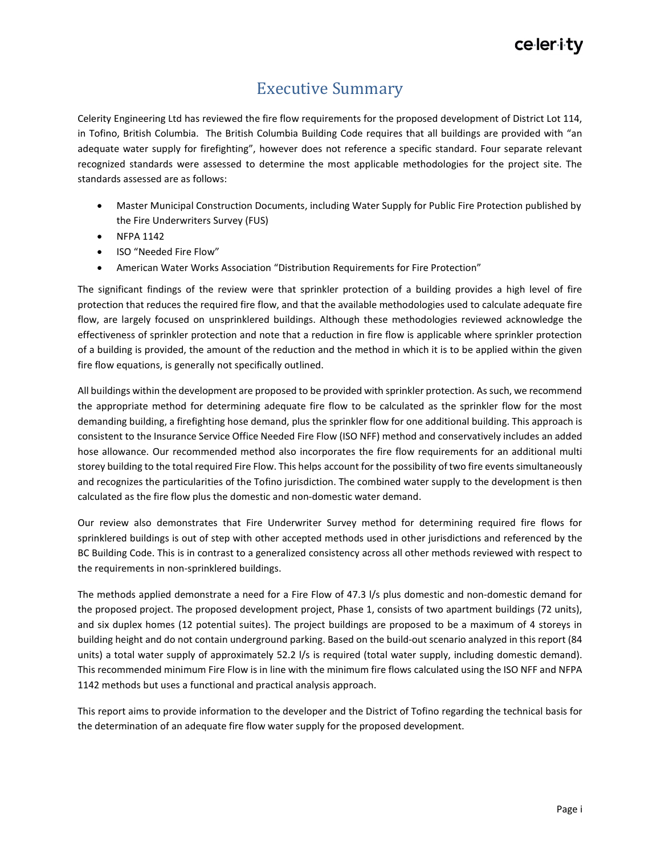### Executive Summary

Celerity Engineering Ltd has reviewed the fire flow requirements for the proposed development of District Lot 114, in Tofino, British Columbia. The British Columbia Building Code requires that all buildings are provided with "an adequate water supply for firefighting", however does not reference a specific standard. Four separate relevant recognized standards were assessed to determine the most applicable methodologies for the project site. The standards assessed are as follows:

- Master Municipal Construction Documents, including Water Supply for Public Fire Protection published by the Fire Underwriters Survey (FUS)
- NFPA 1142
- ISO "Needed Fire Flow"
- American Water Works Association "Distribution Requirements for Fire Protection"

The significant findings of the review were that sprinkler protection of a building provides a high level of fire protection that reduces the required fire flow, and that the available methodologies used to calculate adequate fire flow, are largely focused on unsprinklered buildings. Although these methodologies reviewed acknowledge the effectiveness of sprinkler protection and note that a reduction in fire flow is applicable where sprinkler protection of a building is provided, the amount of the reduction and the method in which it is to be applied within the given fire flow equations, is generally not specifically outlined.

All buildings within the development are proposed to be provided with sprinkler protection. As such, we recommend the appropriate method for determining adequate fire flow to be calculated as the sprinkler flow for the most demanding building, a firefighting hose demand, plus the sprinkler flow for one additional building. This approach is consistent to the Insurance Service Office Needed Fire Flow (ISO NFF) method and conservatively includes an added hose allowance. Our recommended method also incorporates the fire flow requirements for an additional multi storey building to the total required Fire Flow. This helps account for the possibility of two fire events simultaneously and recognizes the particularities of the Tofino jurisdiction. The combined water supply to the development is then calculated as the fire flow plus the domestic and non-domestic water demand.

Our review also demonstrates that Fire Underwriter Survey method for determining required fire flows for sprinklered buildings is out of step with other accepted methods used in other jurisdictions and referenced by the BC Building Code. This is in contrast to a generalized consistency across all other methods reviewed with respect to the requirements in non-sprinklered buildings.

The methods applied demonstrate a need for a Fire Flow of 47.3 l/s plus domestic and non-domestic demand for the proposed project. The proposed development project, Phase 1, consists of two apartment buildings (72 units), and six duplex homes (12 potential suites). The project buildings are proposed to be a maximum of 4 storeys in building height and do not contain underground parking. Based on the build-out scenario analyzed in this report (84 units) a total water supply of approximately 52.2 l/s is required (total water supply, including domestic demand). This recommended minimum Fire Flow is in line with the minimum fire flows calculated using the ISO NFF and NFPA 1142 methods but uses a functional and practical analysis approach.

This report aims to provide information to the developer and the District of Tofino regarding the technical basis for the determination of an adequate fire flow water supply for the proposed development.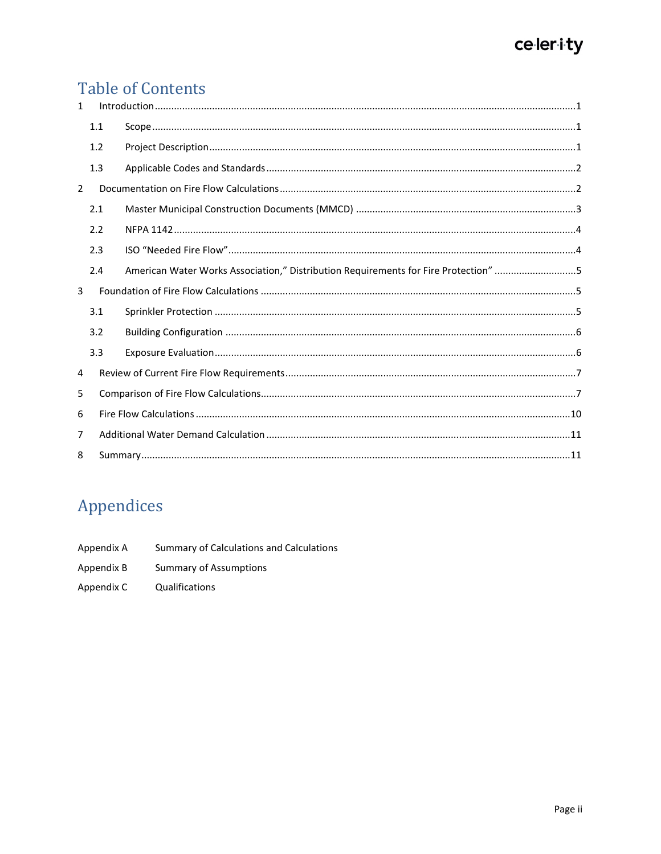### **Table of Contents**

| 1              |     |                                                                                     |  |  |  |  |
|----------------|-----|-------------------------------------------------------------------------------------|--|--|--|--|
|                | 1.1 |                                                                                     |  |  |  |  |
|                | 1.2 |                                                                                     |  |  |  |  |
|                | 1.3 |                                                                                     |  |  |  |  |
| $\overline{2}$ |     |                                                                                     |  |  |  |  |
|                | 2.1 |                                                                                     |  |  |  |  |
|                | 2.2 |                                                                                     |  |  |  |  |
|                | 2.3 |                                                                                     |  |  |  |  |
|                | 2.4 | American Water Works Association," Distribution Requirements for Fire Protection" 5 |  |  |  |  |
| 3              |     |                                                                                     |  |  |  |  |
|                | 3.1 |                                                                                     |  |  |  |  |
|                | 3.2 |                                                                                     |  |  |  |  |
|                | 3.3 |                                                                                     |  |  |  |  |
| 4              |     |                                                                                     |  |  |  |  |
| 5.             |     |                                                                                     |  |  |  |  |
| 6              |     |                                                                                     |  |  |  |  |
| $\overline{7}$ |     |                                                                                     |  |  |  |  |
| 8              |     |                                                                                     |  |  |  |  |

### Appendices

- Appendix A Summary of Calculations and Calculations
- Appendix B **Summary of Assumptions**
- Appendix C Qualifications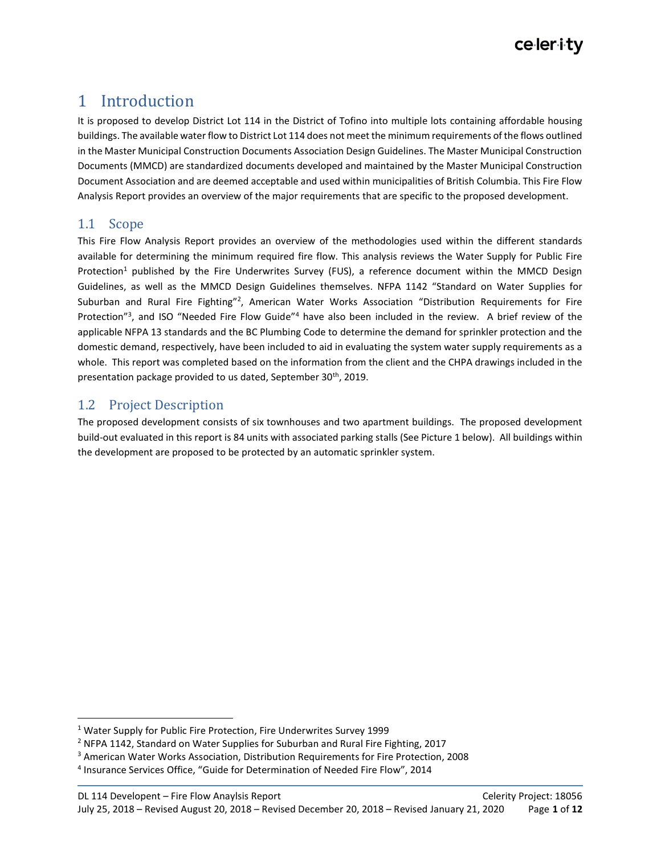### 1 Introduction

It is proposed to develop District Lot 114 in the District of Tofino into multiple lots containing affordable housing buildings. The available water flow to District Lot 114 does not meet the minimum requirements of the flows outlined in the Master Municipal Construction Documents Association Design Guidelines. The Master Municipal Construction Documents (MMCD) are standardized documents developed and maintained by the Master Municipal Construction Document Association and are deemed acceptable and used within municipalities of British Columbia. This Fire Flow Analysis Report provides an overview of the major requirements that are specific to the proposed development.

### 1.1 Scope

This Fire Flow Analysis Report provides an overview of the methodologies used within the different standards available for determining the minimum required fire flow. This analysis reviews the Water Supply for Public Fire Protection<sup>1</sup> published by the Fire Underwrites Survey (FUS), a reference document within the MMCD Design Guidelines, as well as the MMCD Design Guidelines themselves. NFPA 1142 "Standard on Water Supplies for Suburban and Rural Fire Fighting"<sup>2</sup>, American Water Works Association "Distribution Requirements for Fire Protection"<sup>3</sup>, and ISO "Needed Fire Flow Guide"<sup>4</sup> have also been included in the review. A brief review of the applicable NFPA 13 standards and the BC Plumbing Code to determine the demand for sprinkler protection and the domestic demand, respectively, have been included to aid in evaluating the system water supply requirements as a whole. This report was completed based on the information from the client and the CHPA drawings included in the presentation package provided to us dated, September 30<sup>th</sup>, 2019.

### 1.2 Project Description

The proposed development consists of six townhouses and two apartment buildings. The proposed development build-out evaluated in this report is 84 units with associated parking stalls (See Picture 1 below). All buildings within the development are proposed to be protected by an automatic sprinkler system.

<sup>&</sup>lt;sup>1</sup> Water Supply for Public Fire Protection, Fire Underwrites Survey 1999

<sup>&</sup>lt;sup>2</sup> NFPA 1142, Standard on Water Supplies for Suburban and Rural Fire Fighting, 2017

<sup>&</sup>lt;sup>3</sup> American Water Works Association, Distribution Requirements for Fire Protection, 2008

<sup>4</sup> Insurance Services Office, "Guide for Determination of Needed Fire Flow", 2014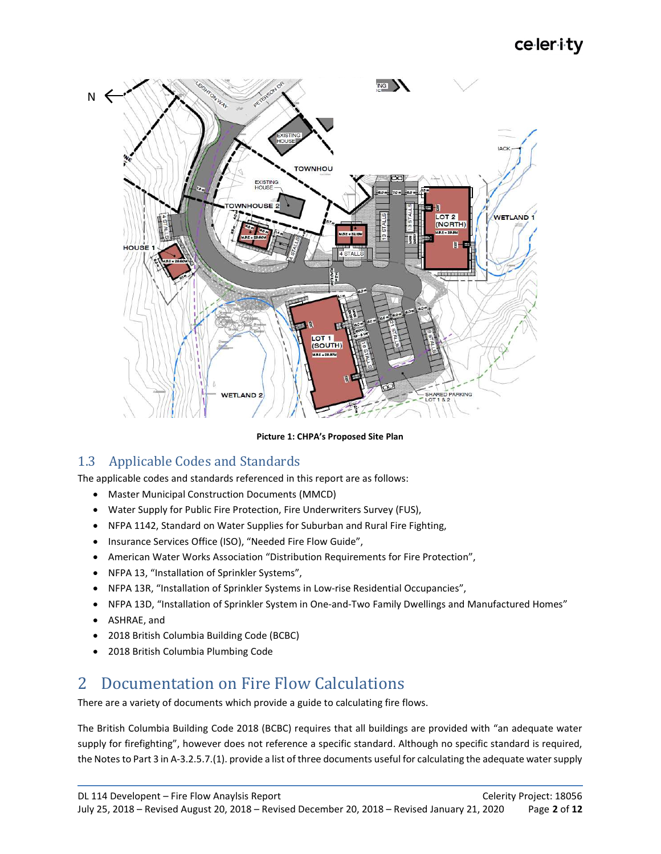

#### Picture 1: CHPA's Proposed Site Plan

### 1.3 Applicable Codes and Standards

The applicable codes and standards referenced in this report are as follows:

- Master Municipal Construction Documents (MMCD)
- Water Supply for Public Fire Protection, Fire Underwriters Survey (FUS),
- NFPA 1142, Standard on Water Supplies for Suburban and Rural Fire Fighting,
- Insurance Services Office (ISO), "Needed Fire Flow Guide",
- American Water Works Association "Distribution Requirements for Fire Protection",
- NFPA 13, "Installation of Sprinkler Systems",
- NFPA 13R, "Installation of Sprinkler Systems in Low-rise Residential Occupancies",
- NFPA 13D, "Installation of Sprinkler System in One-and-Two Family Dwellings and Manufactured Homes"
- ASHRAE, and
- 2018 British Columbia Building Code (BCBC)
- 2018 British Columbia Plumbing Code

### 2 Documentation on Fire Flow Calculations

There are a variety of documents which provide a guide to calculating fire flows.

The British Columbia Building Code 2018 (BCBC) requires that all buildings are provided with "an adequate water supply for firefighting", however does not reference a specific standard. Although no specific standard is required, the Notes to Part 3 in A-3.2.5.7.(1). provide a list of three documents useful for calculating the adequate water supply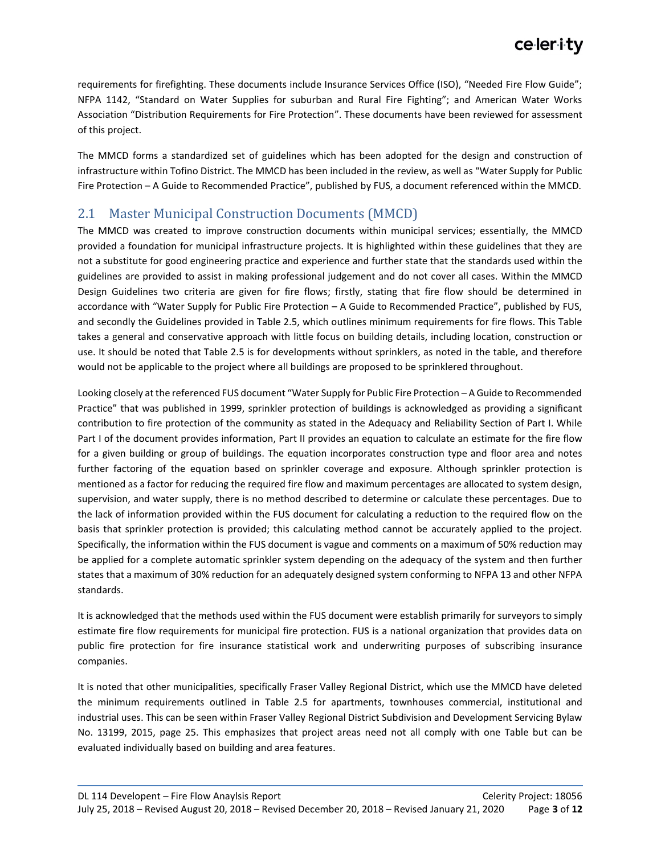requirements for firefighting. These documents include Insurance Services Office (ISO), "Needed Fire Flow Guide"; NFPA 1142, "Standard on Water Supplies for suburban and Rural Fire Fighting"; and American Water Works Association "Distribution Requirements for Fire Protection". These documents have been reviewed for assessment of this project.

The MMCD forms a standardized set of guidelines which has been adopted for the design and construction of infrastructure within Tofino District. The MMCD has been included in the review, as well as "Water Supply for Public Fire Protection – A Guide to Recommended Practice", published by FUS, a document referenced within the MMCD.

### 2.1 Master Municipal Construction Documents (MMCD)

The MMCD was created to improve construction documents within municipal services; essentially, the MMCD provided a foundation for municipal infrastructure projects. It is highlighted within these guidelines that they are not a substitute for good engineering practice and experience and further state that the standards used within the guidelines are provided to assist in making professional judgement and do not cover all cases. Within the MMCD Design Guidelines two criteria are given for fire flows; firstly, stating that fire flow should be determined in accordance with "Water Supply for Public Fire Protection – A Guide to Recommended Practice", published by FUS, and secondly the Guidelines provided in Table 2.5, which outlines minimum requirements for fire flows. This Table takes a general and conservative approach with little focus on building details, including location, construction or use. It should be noted that Table 2.5 is for developments without sprinklers, as noted in the table, and therefore would not be applicable to the project where all buildings are proposed to be sprinklered throughout.

Looking closely at the referenced FUS document "Water Supply for Public Fire Protection – A Guide to Recommended Practice" that was published in 1999, sprinkler protection of buildings is acknowledged as providing a significant contribution to fire protection of the community as stated in the Adequacy and Reliability Section of Part I. While Part I of the document provides information, Part II provides an equation to calculate an estimate for the fire flow for a given building or group of buildings. The equation incorporates construction type and floor area and notes further factoring of the equation based on sprinkler coverage and exposure. Although sprinkler protection is mentioned as a factor for reducing the required fire flow and maximum percentages are allocated to system design, supervision, and water supply, there is no method described to determine or calculate these percentages. Due to the lack of information provided within the FUS document for calculating a reduction to the required flow on the basis that sprinkler protection is provided; this calculating method cannot be accurately applied to the project. Specifically, the information within the FUS document is vague and comments on a maximum of 50% reduction may be applied for a complete automatic sprinkler system depending on the adequacy of the system and then further states that a maximum of 30% reduction for an adequately designed system conforming to NFPA 13 and other NFPA standards.

It is acknowledged that the methods used within the FUS document were establish primarily for surveyors to simply estimate fire flow requirements for municipal fire protection. FUS is a national organization that provides data on public fire protection for fire insurance statistical work and underwriting purposes of subscribing insurance companies.

It is noted that other municipalities, specifically Fraser Valley Regional District, which use the MMCD have deleted the minimum requirements outlined in Table 2.5 for apartments, townhouses commercial, institutional and industrial uses. This can be seen within Fraser Valley Regional District Subdivision and Development Servicing Bylaw No. 13199, 2015, page 25. This emphasizes that project areas need not all comply with one Table but can be evaluated individually based on building and area features.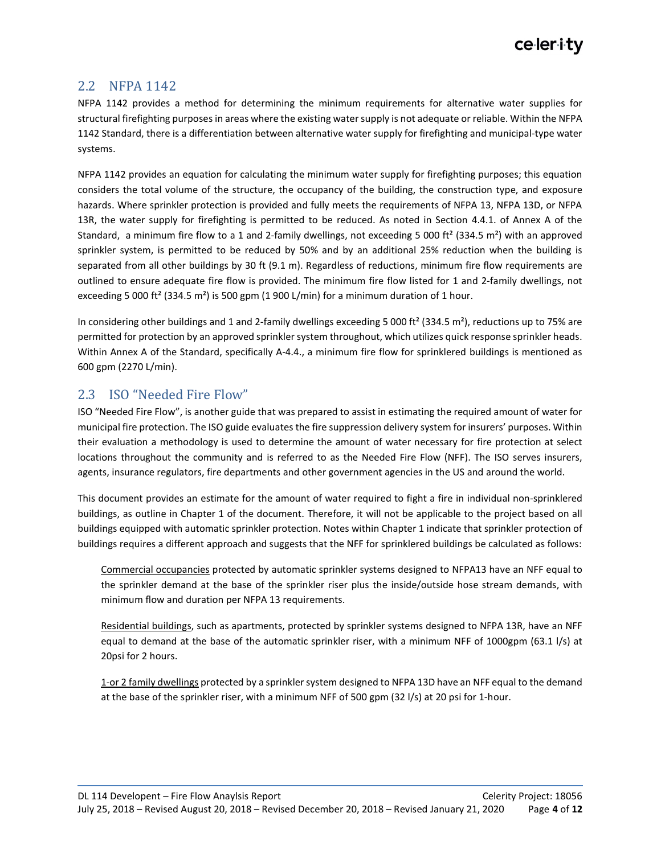### 2.2 NFPA 1142

NFPA 1142 provides a method for determining the minimum requirements for alternative water supplies for structural firefighting purposes in areas where the existing water supply is not adequate or reliable. Within the NFPA 1142 Standard, there is a differentiation between alternative water supply for firefighting and municipal-type water systems.

NFPA 1142 provides an equation for calculating the minimum water supply for firefighting purposes; this equation considers the total volume of the structure, the occupancy of the building, the construction type, and exposure hazards. Where sprinkler protection is provided and fully meets the requirements of NFPA 13, NFPA 13D, or NFPA 13R, the water supply for firefighting is permitted to be reduced. As noted in Section 4.4.1. of Annex A of the Standard, a minimum fire flow to a 1 and 2-family dwellings, not exceeding 5 000 ft<sup>2</sup> (334.5 m<sup>2</sup>) with an approved sprinkler system, is permitted to be reduced by 50% and by an additional 25% reduction when the building is separated from all other buildings by 30 ft (9.1 m). Regardless of reductions, minimum fire flow requirements are outlined to ensure adequate fire flow is provided. The minimum fire flow listed for 1 and 2-family dwellings, not exceeding 5 000 ft<sup>2</sup> (334.5 m<sup>2</sup>) is 500 gpm (1 900 L/min) for a minimum duration of 1 hour.

In considering other buildings and 1 and 2-family dwellings exceeding 5 000 ft<sup>2</sup> (334.5 m<sup>2</sup>), reductions up to 75% are permitted for protection by an approved sprinkler system throughout, which utilizes quick response sprinkler heads. Within Annex A of the Standard, specifically A-4.4., a minimum fire flow for sprinklered buildings is mentioned as 600 gpm (2270 L/min).

### 2.3 ISO "Needed Fire Flow"

ISO "Needed Fire Flow", is another guide that was prepared to assist in estimating the required amount of water for municipal fire protection. The ISO guide evaluates the fire suppression delivery system for insurers' purposes. Within their evaluation a methodology is used to determine the amount of water necessary for fire protection at select locations throughout the community and is referred to as the Needed Fire Flow (NFF). The ISO serves insurers, agents, insurance regulators, fire departments and other government agencies in the US and around the world.

This document provides an estimate for the amount of water required to fight a fire in individual non-sprinklered buildings, as outline in Chapter 1 of the document. Therefore, it will not be applicable to the project based on all buildings equipped with automatic sprinkler protection. Notes within Chapter 1 indicate that sprinkler protection of buildings requires a different approach and suggests that the NFF for sprinklered buildings be calculated as follows:

Commercial occupancies protected by automatic sprinkler systems designed to NFPA13 have an NFF equal to the sprinkler demand at the base of the sprinkler riser plus the inside/outside hose stream demands, with minimum flow and duration per NFPA 13 requirements.

Residential buildings, such as apartments, protected by sprinkler systems designed to NFPA 13R, have an NFF equal to demand at the base of the automatic sprinkler riser, with a minimum NFF of 1000gpm (63.1 l/s) at 20psi for 2 hours.

1-or 2 family dwellings protected by a sprinkler system designed to NFPA 13D have an NFF equal to the demand at the base of the sprinkler riser, with a minimum NFF of 500 gpm (32 l/s) at 20 psi for 1-hour.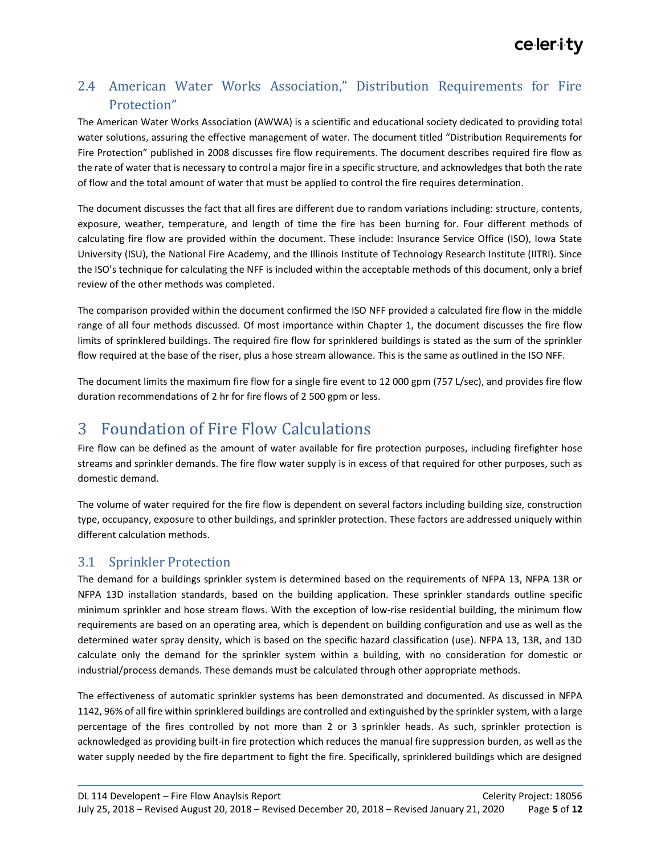### 2.4 American Water Works Association," Distribution Requirements for Fire Protection"

The American Water Works Association (AWWA) is a scientific and educational society dedicated to providing total water solutions, assuring the effective management of water. The document titled "Distribution Requirements for Fire Protection" published in 2008 discusses fire flow requirements. The document describes required fire flow as the rate of water that is necessary to control a major fire in a specific structure, and acknowledges that both the rate of flow and the total amount of water that must be applied to control the fire requires determination.

The document discusses the fact that all fires are different due to random variations including: structure, contents, exposure, weather, temperature, and length of time the fire has been burning for. Four different methods of calculating fire flow are provided within the document. These include: Insurance Service Office (ISO), Iowa State University (ISU), the National Fire Academy, and the Illinois Institute of Technology Research Institute (IITRI). Since the ISO's technique for calculating the NFF is included within the acceptable methods of this document, only a brief review of the other methods was completed.

The comparison provided within the document confirmed the ISO NFF provided a calculated fire flow in the middle range of all four methods discussed. Of most importance within Chapter 1, the document discusses the fire flow limits of sprinklered buildings. The required fire flow for sprinklered buildings is stated as the sum of the sprinkler flow required at the base of the riser, plus a hose stream allowance. This is the same as outlined in the ISO NFF.

The document limits the maximum fire flow for a single fire event to 12 000 gpm (757 L/sec), and provides fire flow duration recommendations of 2 hr for fire flows of 2 500 gpm or less.

### 3 Foundation of Fire Flow Calculations

Fire flow can be defined as the amount of water available for fire protection purposes, including firefighter hose streams and sprinkler demands. The fire flow water supply is in excess of that required for other purposes, such as domestic demand.

The volume of water required for the fire flow is dependent on several factors including building size, construction type, occupancy, exposure to other buildings, and sprinkler protection. These factors are addressed uniquely within different calculation methods.

### 3.1 Sprinkler Protection

The demand for a buildings sprinkler system is determined based on the requirements of NFPA 13, NFPA 13R or NFPA 13D installation standards, based on the building application. These sprinkler standards outline specific minimum sprinkler and hose stream flows. With the exception of low-rise residential building, the minimum flow requirements are based on an operating area, which is dependent on building configuration and use as well as the determined water spray density, which is based on the specific hazard classification (use). NFPA 13, 13R, and 13D calculate only the demand for the sprinkler system within a building, with no consideration for domestic or industrial/process demands. These demands must be calculated through other appropriate methods.

The effectiveness of automatic sprinkler systems has been demonstrated and documented. As discussed in NFPA 1142, 96% of all fire within sprinklered buildings are controlled and extinguished by the sprinkler system, with a large percentage of the fires controlled by not more than 2 or 3 sprinkler heads. As such, sprinkler protection is acknowledged as providing built-in fire protection which reduces the manual fire suppression burden, as well as the water supply needed by the fire department to fight the fire. Specifically, sprinklered buildings which are designed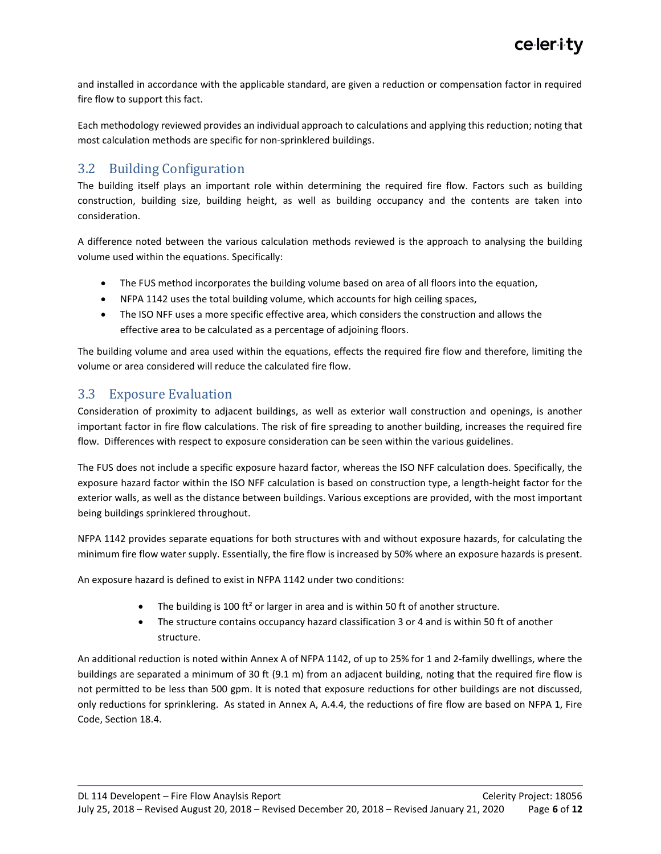and installed in accordance with the applicable standard, are given a reduction or compensation factor in required fire flow to support this fact.

Each methodology reviewed provides an individual approach to calculations and applying this reduction; noting that most calculation methods are specific for non-sprinklered buildings.

### 3.2 Building Configuration

The building itself plays an important role within determining the required fire flow. Factors such as building construction, building size, building height, as well as building occupancy and the contents are taken into consideration.

A difference noted between the various calculation methods reviewed is the approach to analysing the building volume used within the equations. Specifically:

- The FUS method incorporates the building volume based on area of all floors into the equation,
- NFPA 1142 uses the total building volume, which accounts for high ceiling spaces,
- The ISO NFF uses a more specific effective area, which considers the construction and allows the effective area to be calculated as a percentage of adjoining floors.

The building volume and area used within the equations, effects the required fire flow and therefore, limiting the volume or area considered will reduce the calculated fire flow.

### 3.3 Exposure Evaluation

Consideration of proximity to adjacent buildings, as well as exterior wall construction and openings, is another important factor in fire flow calculations. The risk of fire spreading to another building, increases the required fire flow. Differences with respect to exposure consideration can be seen within the various guidelines.

The FUS does not include a specific exposure hazard factor, whereas the ISO NFF calculation does. Specifically, the exposure hazard factor within the ISO NFF calculation is based on construction type, a length-height factor for the exterior walls, as well as the distance between buildings. Various exceptions are provided, with the most important being buildings sprinklered throughout.

NFPA 1142 provides separate equations for both structures with and without exposure hazards, for calculating the minimum fire flow water supply. Essentially, the fire flow is increased by 50% where an exposure hazards is present.

An exposure hazard is defined to exist in NFPA 1142 under two conditions:

- The building is 100 ft<sup>2</sup> or larger in area and is within 50 ft of another structure.
- The structure contains occupancy hazard classification 3 or 4 and is within 50 ft of another structure.

An additional reduction is noted within Annex A of NFPA 1142, of up to 25% for 1 and 2-family dwellings, where the buildings are separated a minimum of 30 ft (9.1 m) from an adjacent building, noting that the required fire flow is not permitted to be less than 500 gpm. It is noted that exposure reductions for other buildings are not discussed, only reductions for sprinklering. As stated in Annex A, A.4.4, the reductions of fire flow are based on NFPA 1, Fire Code, Section 18.4.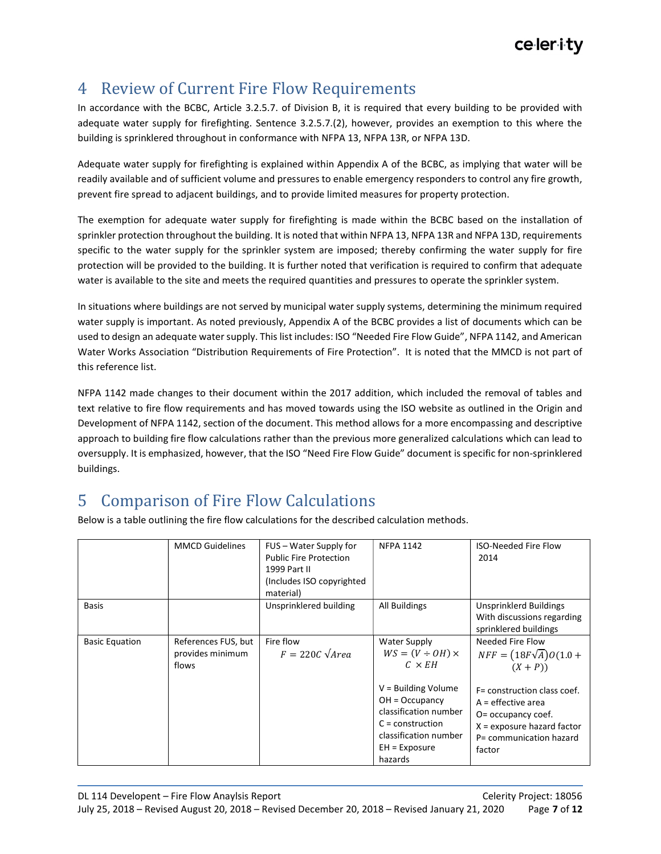### 4 Review of Current Fire Flow Requirements

In accordance with the BCBC, Article 3.2.5.7. of Division B, it is required that every building to be provided with adequate water supply for firefighting. Sentence 3.2.5.7.(2), however, provides an exemption to this where the building is sprinklered throughout in conformance with NFPA 13, NFPA 13R, or NFPA 13D.

Adequate water supply for firefighting is explained within Appendix A of the BCBC, as implying that water will be readily available and of sufficient volume and pressures to enable emergency responders to control any fire growth, prevent fire spread to adjacent buildings, and to provide limited measures for property protection.

The exemption for adequate water supply for firefighting is made within the BCBC based on the installation of sprinkler protection throughout the building. It is noted that within NFPA 13, NFPA 13R and NFPA 13D, requirements specific to the water supply for the sprinkler system are imposed; thereby confirming the water supply for fire protection will be provided to the building. It is further noted that verification is required to confirm that adequate water is available to the site and meets the required quantities and pressures to operate the sprinkler system.

In situations where buildings are not served by municipal water supply systems, determining the minimum required water supply is important. As noted previously, Appendix A of the BCBC provides a list of documents which can be used to design an adequate water supply. This list includes: ISO "Needed Fire Flow Guide", NFPA 1142, and American Water Works Association "Distribution Requirements of Fire Protection". It is noted that the MMCD is not part of this reference list.

NFPA 1142 made changes to their document within the 2017 addition, which included the removal of tables and text relative to fire flow requirements and has moved towards using the ISO website as outlined in the Origin and Development of NFPA 1142, section of the document. This method allows for a more encompassing and descriptive approach to building fire flow calculations rather than the previous more generalized calculations which can lead to oversupply. It is emphasized, however, that the ISO "Need Fire Flow Guide" document is specific for non-sprinklered buildings.

### 5 Comparison of Fire Flow Calculations

Below is a table outlining the fire flow calculations for the described calculation methods.

|                       | <b>MMCD Guidelines</b>                           | FUS – Water Supply for<br><b>Public Fire Protection</b><br>1999 Part II<br>(Includes ISO copyrighted<br>material) | <b>NFPA 1142</b>                                                                                                                                                                                              | <b>ISO-Needed Fire Flow</b><br>2014                                                                                                                                                                             |
|-----------------------|--------------------------------------------------|-------------------------------------------------------------------------------------------------------------------|---------------------------------------------------------------------------------------------------------------------------------------------------------------------------------------------------------------|-----------------------------------------------------------------------------------------------------------------------------------------------------------------------------------------------------------------|
| Basis                 |                                                  | Unsprinklered building                                                                                            | All Buildings                                                                                                                                                                                                 | <b>Unsprinklerd Buildings</b><br>With discussions regarding<br>sprinklered buildings                                                                                                                            |
| <b>Basic Equation</b> | References FUS, but<br>provides minimum<br>flows | Fire flow<br>$F = 220C \sqrt{Area}$                                                                               | Water Supply<br>$WS = (V \div OH) \times$<br>$C \times EH$<br>$V =$ Building Volume<br>$OH = Occupancy$<br>classification number<br>$C =$ construction<br>classification number<br>$EH = Exposure$<br>hazards | Needed Fire Flow<br>$NFF = (18F\sqrt{A})O(1.0 +$<br>$(X + P)$<br>F= construction class coef.<br>$A =$ effective area<br>O= occupancy coef.<br>$X =$ exposure hazard factor<br>P= communication hazard<br>factor |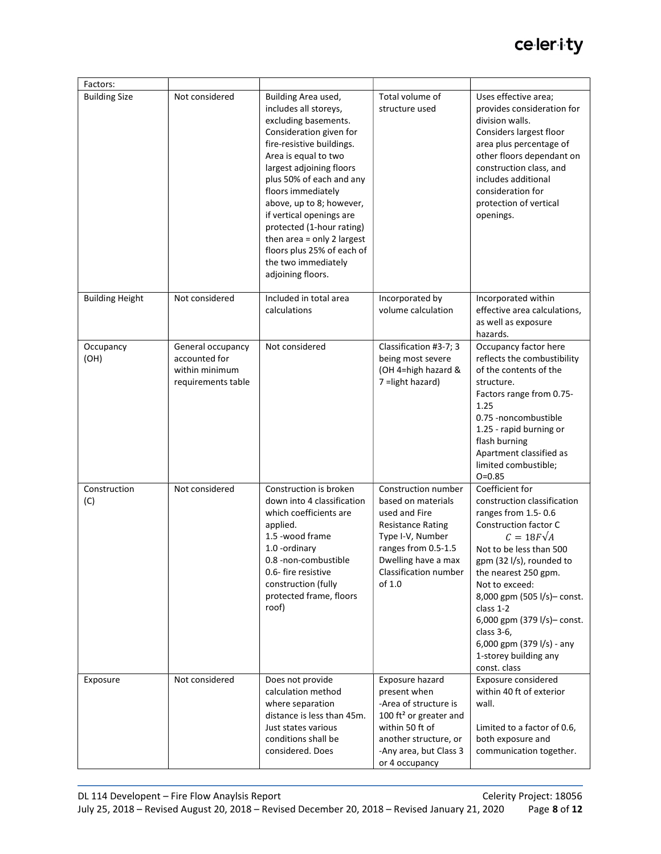| Factors:               |                                                                            |                                                                                                                                                                                                                                                                                                                                                                                                                                 |                                                                                                                                                                                             |                                                                                                                                                                                                                                                                                                                                                                                     |
|------------------------|----------------------------------------------------------------------------|---------------------------------------------------------------------------------------------------------------------------------------------------------------------------------------------------------------------------------------------------------------------------------------------------------------------------------------------------------------------------------------------------------------------------------|---------------------------------------------------------------------------------------------------------------------------------------------------------------------------------------------|-------------------------------------------------------------------------------------------------------------------------------------------------------------------------------------------------------------------------------------------------------------------------------------------------------------------------------------------------------------------------------------|
| <b>Building Size</b>   | Not considered                                                             | Building Area used,<br>includes all storeys,<br>excluding basements.<br>Consideration given for<br>fire-resistive buildings.<br>Area is equal to two<br>largest adjoining floors<br>plus 50% of each and any<br>floors immediately<br>above, up to 8; however,<br>if vertical openings are<br>protected (1-hour rating)<br>then area = only 2 largest<br>floors plus 25% of each of<br>the two immediately<br>adjoining floors. | Total volume of<br>structure used                                                                                                                                                           | Uses effective area;<br>provides consideration for<br>division walls.<br>Considers largest floor<br>area plus percentage of<br>other floors dependant on<br>construction class, and<br>includes additional<br>consideration for<br>protection of vertical<br>openings.                                                                                                              |
| <b>Building Height</b> | Not considered                                                             | Included in total area<br>calculations                                                                                                                                                                                                                                                                                                                                                                                          | Incorporated by<br>volume calculation                                                                                                                                                       | Incorporated within<br>effective area calculations,<br>as well as exposure<br>hazards.                                                                                                                                                                                                                                                                                              |
| Occupancy<br>(OH)      | General occupancy<br>accounted for<br>within minimum<br>requirements table | Not considered                                                                                                                                                                                                                                                                                                                                                                                                                  | Classification #3-7; 3<br>being most severe<br>(OH 4=high hazard &<br>7 = light hazard)                                                                                                     | Occupancy factor here<br>reflects the combustibility<br>of the contents of the<br>structure.<br>Factors range from 0.75-<br>1.25<br>0.75 -noncombustible<br>1.25 - rapid burning or<br>flash burning<br>Apartment classified as<br>limited combustible;<br>$O = 0.85$                                                                                                               |
| Construction<br>(C)    | Not considered                                                             | Construction is broken<br>down into 4 classification<br>which coefficients are<br>applied.<br>1.5 -wood frame<br>1.0 - ordinary<br>0.8 -non-combustible<br>0.6- fire resistive<br>construction (fully<br>protected frame, floors<br>roof)                                                                                                                                                                                       | Construction number<br>based on materials<br>used and Fire<br><b>Resistance Rating</b><br>Type I-V, Number<br>ranges from 0.5-1.5<br>Dwelling have a max<br>Classification number<br>of 1.0 | Coefficient for<br>construction classification<br>ranges from 1.5-0.6<br>Construction factor C<br>$C = 18F\sqrt{A}$<br>Not to be less than 500<br>gpm (32 l/s), rounded to<br>the nearest 250 gpm.<br>Not to exceed:<br>8,000 gpm (505 l/s)- const.<br>class 1-2<br>6,000 gpm (379 l/s)- const.<br>class 3-6,<br>6,000 gpm (379 l/s) - any<br>1-storey building any<br>const. class |
| Exposure               | Not considered                                                             | Does not provide<br>calculation method<br>where separation<br>distance is less than 45m.<br>Just states various<br>conditions shall be<br>considered. Does                                                                                                                                                                                                                                                                      | Exposure hazard<br>present when<br>-Area of structure is<br>100 ft <sup>2</sup> or greater and<br>within 50 ft of<br>another structure, or<br>-Any area, but Class 3<br>or 4 occupancy      | Exposure considered<br>within 40 ft of exterior<br>wall.<br>Limited to a factor of 0.6,<br>both exposure and<br>communication together.                                                                                                                                                                                                                                             |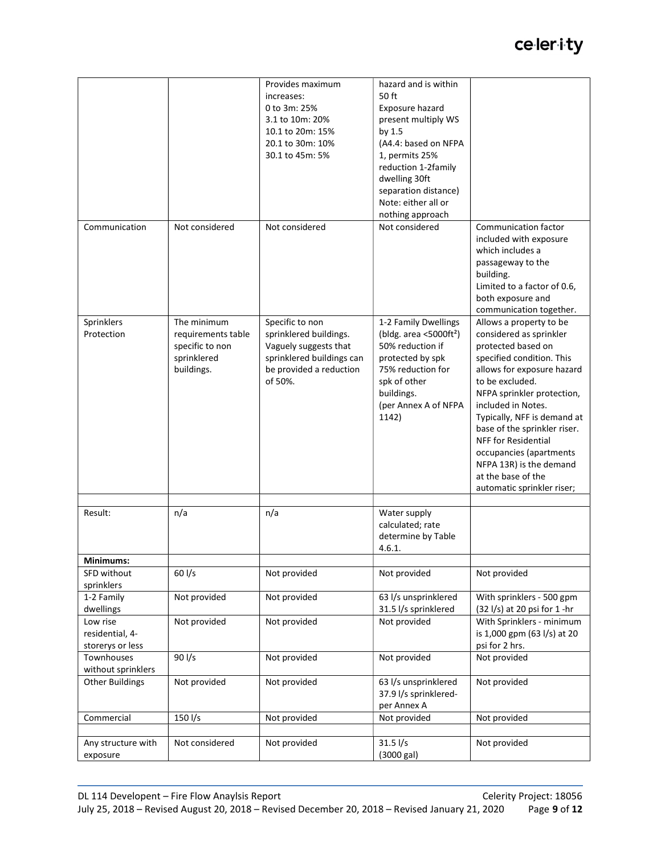|                                                 |                                                                                   | Provides maximum<br>increases:<br>0 to 3m: 25%<br>3.1 to 10m: 20%<br>10.1 to 20m: 15%<br>20.1 to 30m: 10%<br>30.1 to 45m: 5%          | hazard and is within<br>50 ft<br>Exposure hazard<br>present multiply WS<br>by 1.5<br>(A4.4: based on NFPA<br>1, permits 25%<br>reduction 1-2family<br>dwelling 30ft<br>separation distance)<br>Note: either all or<br>nothing approach |                                                                                                                                                                                                                                                                                                                                                                                                                   |
|-------------------------------------------------|-----------------------------------------------------------------------------------|---------------------------------------------------------------------------------------------------------------------------------------|----------------------------------------------------------------------------------------------------------------------------------------------------------------------------------------------------------------------------------------|-------------------------------------------------------------------------------------------------------------------------------------------------------------------------------------------------------------------------------------------------------------------------------------------------------------------------------------------------------------------------------------------------------------------|
| Communication                                   | Not considered                                                                    | Not considered                                                                                                                        | Not considered                                                                                                                                                                                                                         | Communication factor<br>included with exposure<br>which includes a<br>passageway to the<br>building.<br>Limited to a factor of 0.6,<br>both exposure and<br>communication together.                                                                                                                                                                                                                               |
| Sprinklers<br>Protection                        | The minimum<br>requirements table<br>specific to non<br>sprinklered<br>buildings. | Specific to non<br>sprinklered buildings.<br>Vaguely suggests that<br>sprinklered buildings can<br>be provided a reduction<br>of 50%. | 1-2 Family Dwellings<br>(bldg. area $<$ 5000ft <sup>2</sup> )<br>50% reduction if<br>protected by spk<br>75% reduction for<br>spk of other<br>buildings.<br>(per Annex A of NFPA<br>1142)                                              | Allows a property to be<br>considered as sprinkler<br>protected based on<br>specified condition. This<br>allows for exposure hazard<br>to be excluded.<br>NFPA sprinkler protection,<br>included in Notes.<br>Typically, NFF is demand at<br>base of the sprinkler riser.<br><b>NFF</b> for Residential<br>occupancies (apartments<br>NFPA 13R) is the demand<br>at the base of the<br>automatic sprinkler riser; |
| Result:                                         | n/a                                                                               | n/a                                                                                                                                   | Water supply<br>calculated; rate<br>determine by Table<br>4.6.1.                                                                                                                                                                       |                                                                                                                                                                                                                                                                                                                                                                                                                   |
| Minimums:                                       |                                                                                   |                                                                                                                                       |                                                                                                                                                                                                                                        |                                                                                                                                                                                                                                                                                                                                                                                                                   |
| SFD without<br>sprinklers                       | $60$ I/s                                                                          | Not provided                                                                                                                          | Not provided                                                                                                                                                                                                                           | Not provided                                                                                                                                                                                                                                                                                                                                                                                                      |
| 1-2 Family<br>dwellings                         | Not provided                                                                      | Not provided                                                                                                                          | 63 l/s unsprinklered<br>31.5 l/s sprinklered                                                                                                                                                                                           | With sprinklers - 500 gpm<br>$(32 \frac{1}{s})$ at 20 psi for 1 -hr                                                                                                                                                                                                                                                                                                                                               |
| Low rise<br>residential, 4-<br>storerys or less | Not provided                                                                      | Not provided                                                                                                                          | Not provided                                                                                                                                                                                                                           | With Sprinklers - minimum<br>is 1,000 gpm (63 l/s) at 20<br>psi for 2 hrs.                                                                                                                                                                                                                                                                                                                                        |
| Townhouses<br>without sprinklers                | 90 l/s                                                                            | Not provided                                                                                                                          | Not provided                                                                                                                                                                                                                           | Not provided                                                                                                                                                                                                                                                                                                                                                                                                      |
| <b>Other Buildings</b>                          | Not provided                                                                      | Not provided                                                                                                                          | 63 l/s unsprinklered<br>37.9 l/s sprinklered-<br>per Annex A                                                                                                                                                                           | Not provided                                                                                                                                                                                                                                                                                                                                                                                                      |
| Commercial                                      | $150 \frac{\text{I}}{\text{s}}$                                                   | Not provided                                                                                                                          | Not provided                                                                                                                                                                                                                           | Not provided                                                                                                                                                                                                                                                                                                                                                                                                      |
|                                                 |                                                                                   |                                                                                                                                       |                                                                                                                                                                                                                                        |                                                                                                                                                                                                                                                                                                                                                                                                                   |
| Any structure with<br>exposure                  | Not considered                                                                    | Not provided                                                                                                                          | $31.5$ $\frac{1}{s}$<br>(3000 gal)                                                                                                                                                                                                     | Not provided                                                                                                                                                                                                                                                                                                                                                                                                      |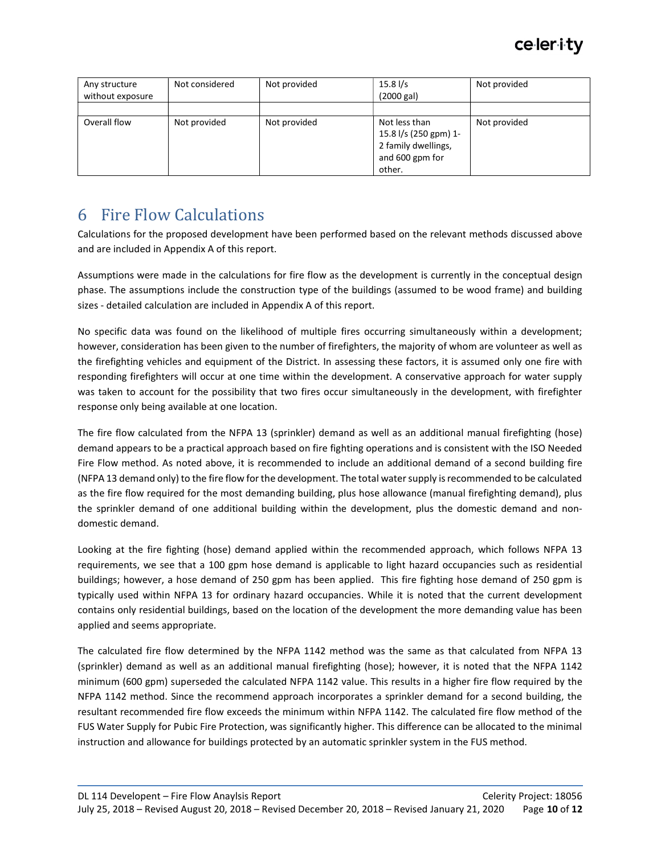| Any structure<br>without exposure | Not considered | Not provided | $15.8$ I/s<br>(2000 gal)                                                                   | Not provided |
|-----------------------------------|----------------|--------------|--------------------------------------------------------------------------------------------|--------------|
|                                   |                |              |                                                                                            |              |
| Overall flow                      | Not provided   | Not provided | Not less than<br>15.8 l/s (250 gpm) 1-<br>2 family dwellings,<br>and 600 gpm for<br>other. | Not provided |

### 6 Fire Flow Calculations

Calculations for the proposed development have been performed based on the relevant methods discussed above and are included in Appendix A of this report.

Assumptions were made in the calculations for fire flow as the development is currently in the conceptual design phase. The assumptions include the construction type of the buildings (assumed to be wood frame) and building sizes - detailed calculation are included in Appendix A of this report.

No specific data was found on the likelihood of multiple fires occurring simultaneously within a development; however, consideration has been given to the number of firefighters, the majority of whom are volunteer as well as the firefighting vehicles and equipment of the District. In assessing these factors, it is assumed only one fire with responding firefighters will occur at one time within the development. A conservative approach for water supply was taken to account for the possibility that two fires occur simultaneously in the development, with firefighter response only being available at one location.

The fire flow calculated from the NFPA 13 (sprinkler) demand as well as an additional manual firefighting (hose) demand appears to be a practical approach based on fire fighting operations and is consistent with the ISO Needed Fire Flow method. As noted above, it is recommended to include an additional demand of a second building fire (NFPA 13 demand only) to the fire flow for the development. The total water supply is recommended to be calculated as the fire flow required for the most demanding building, plus hose allowance (manual firefighting demand), plus the sprinkler demand of one additional building within the development, plus the domestic demand and nondomestic demand.

Looking at the fire fighting (hose) demand applied within the recommended approach, which follows NFPA 13 requirements, we see that a 100 gpm hose demand is applicable to light hazard occupancies such as residential buildings; however, a hose demand of 250 gpm has been applied. This fire fighting hose demand of 250 gpm is typically used within NFPA 13 for ordinary hazard occupancies. While it is noted that the current development contains only residential buildings, based on the location of the development the more demanding value has been applied and seems appropriate.

The calculated fire flow determined by the NFPA 1142 method was the same as that calculated from NFPA 13 (sprinkler) demand as well as an additional manual firefighting (hose); however, it is noted that the NFPA 1142 minimum (600 gpm) superseded the calculated NFPA 1142 value. This results in a higher fire flow required by the NFPA 1142 method. Since the recommend approach incorporates a sprinkler demand for a second building, the resultant recommended fire flow exceeds the minimum within NFPA 1142. The calculated fire flow method of the FUS Water Supply for Pubic Fire Protection, was significantly higher. This difference can be allocated to the minimal instruction and allowance for buildings protected by an automatic sprinkler system in the FUS method.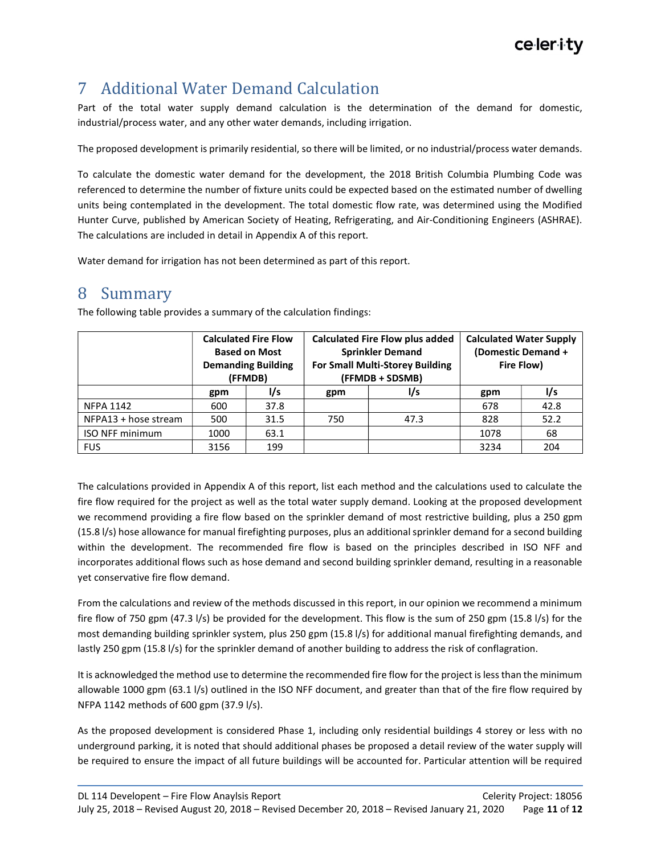### 7 Additional Water Demand Calculation

Part of the total water supply demand calculation is the determination of the demand for domestic, industrial/process water, and any other water demands, including irrigation.

The proposed development is primarily residential, so there will be limited, or no industrial/process water demands.

To calculate the domestic water demand for the development, the 2018 British Columbia Plumbing Code was referenced to determine the number of fixture units could be expected based on the estimated number of dwelling units being contemplated in the development. The total domestic flow rate, was determined using the Modified Hunter Curve, published by American Society of Heating, Refrigerating, and Air-Conditioning Engineers (ASHRAE). The calculations are included in detail in Appendix A of this report.

Water demand for irrigation has not been determined as part of this report.

### 8 Summary

|                        |      | <b>Calculated Fire Flow</b><br><b>Based on Most</b><br><b>Demanding Building</b><br>(FFMDB) |     | <b>Calculated Fire Flow plus added</b><br><b>Sprinkler Demand</b><br><b>For Small Multi-Storey Building</b><br>(FFMDB + SDSMB) | <b>Calculated Water Supply</b><br>(Domestic Demand +<br>Fire Flow) |      |
|------------------------|------|---------------------------------------------------------------------------------------------|-----|--------------------------------------------------------------------------------------------------------------------------------|--------------------------------------------------------------------|------|
|                        | gpm  | l/s                                                                                         | gpm | l/s                                                                                                                            | gpm                                                                | l/s  |
| <b>NFPA 1142</b>       | 600  | 37.8                                                                                        |     |                                                                                                                                | 678                                                                | 42.8 |
| NFPA13 + hose stream   | 500  | 31.5                                                                                        | 750 | 47.3                                                                                                                           | 828                                                                | 52.2 |
| <b>ISO NFF minimum</b> | 1000 | 63.1                                                                                        |     |                                                                                                                                | 1078                                                               | 68   |
| <b>FUS</b>             | 3156 | 199                                                                                         |     |                                                                                                                                | 3234                                                               | 204  |

The following table provides a summary of the calculation findings:

The calculations provided in Appendix A of this report, list each method and the calculations used to calculate the fire flow required for the project as well as the total water supply demand. Looking at the proposed development we recommend providing a fire flow based on the sprinkler demand of most restrictive building, plus a 250 gpm (15.8 l/s) hose allowance for manual firefighting purposes, plus an additional sprinkler demand for a second building within the development. The recommended fire flow is based on the principles described in ISO NFF and incorporates additional flows such as hose demand and second building sprinkler demand, resulting in a reasonable yet conservative fire flow demand.

From the calculations and review of the methods discussed in this report, in our opinion we recommend a minimum fire flow of 750 gpm (47.3 l/s) be provided for the development. This flow is the sum of 250 gpm (15.8 l/s) for the most demanding building sprinkler system, plus 250 gpm (15.8 l/s) for additional manual firefighting demands, and lastly 250 gpm (15.8 l/s) for the sprinkler demand of another building to address the risk of conflagration.

It is acknowledged the method use to determine the recommended fire flow for the project is less than the minimum allowable 1000 gpm (63.1 l/s) outlined in the ISO NFF document, and greater than that of the fire flow required by NFPA 1142 methods of 600 gpm (37.9 l/s).

As the proposed development is considered Phase 1, including only residential buildings 4 storey or less with no underground parking, it is noted that should additional phases be proposed a detail review of the water supply will be required to ensure the impact of all future buildings will be accounted for. Particular attention will be required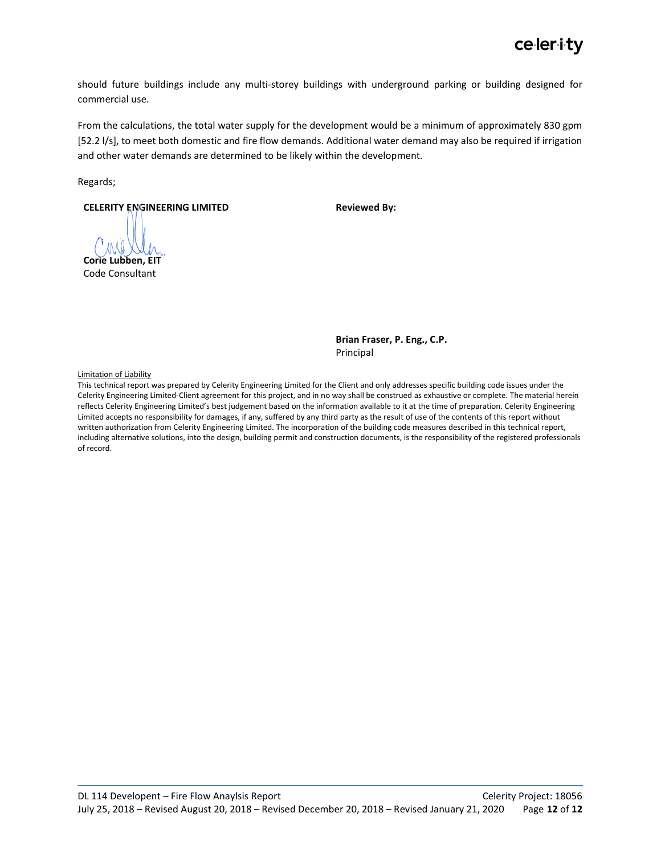should future buildings include any multi-storey buildings with underground parking or building designed for commercial use.

From the calculations, the total water supply for the development would be a minimum of approximately 830 gpm [52.2 l/s], to meet both domestic and fire flow demands. Additional water demand may also be required if irrigation and other water demands are determined to be likely within the development.

Regards;

CELERITY ENGINEERING LIMITED

Reviewed By:

Corie Lubben, EIT Code Consultant

Brian Fraser, P. Eng., C.P. Principal

Limitation of Liability

This technical report was prepared by Celerity Engineering Limited for the Client and only addresses specific building code issues under the Celerity Engineering Limited-Client agreement for this project, and in no way shall be construed as exhaustive or complete. The material herein reflects Celerity Engineering Limited's best judgement based on the information available to it at the time of preparation. Celerity Engineering Limited accepts no responsibility for damages, if any, suffered by any third party as the result of use of the contents of this report without written authorization from Celerity Engineering Limited. The incorporation of the building code measures described in this technical report, including alternative solutions, into the design, building permit and construction documents, is the responsibility of the registered professionals of record.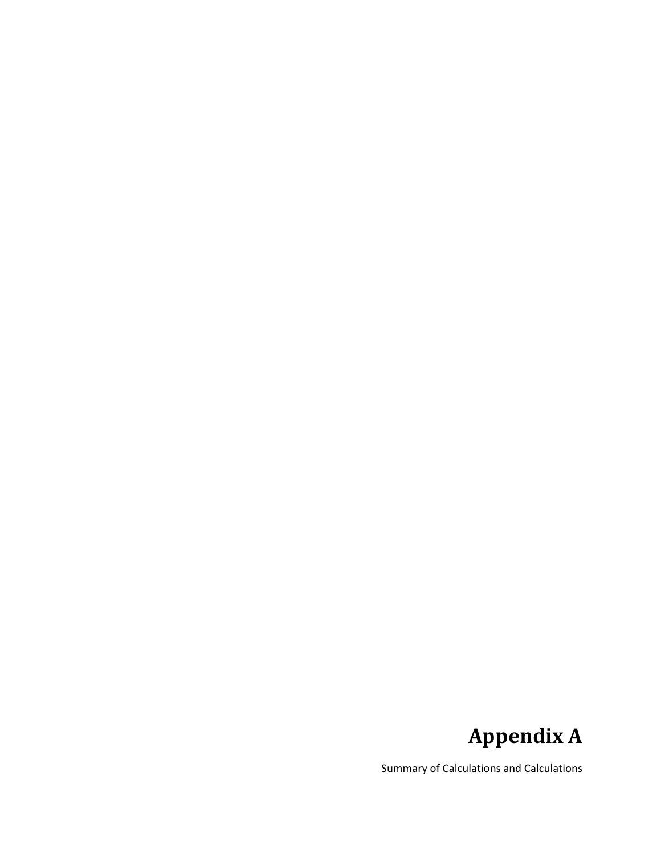### Appendix A

Summary of Calculations and Calculations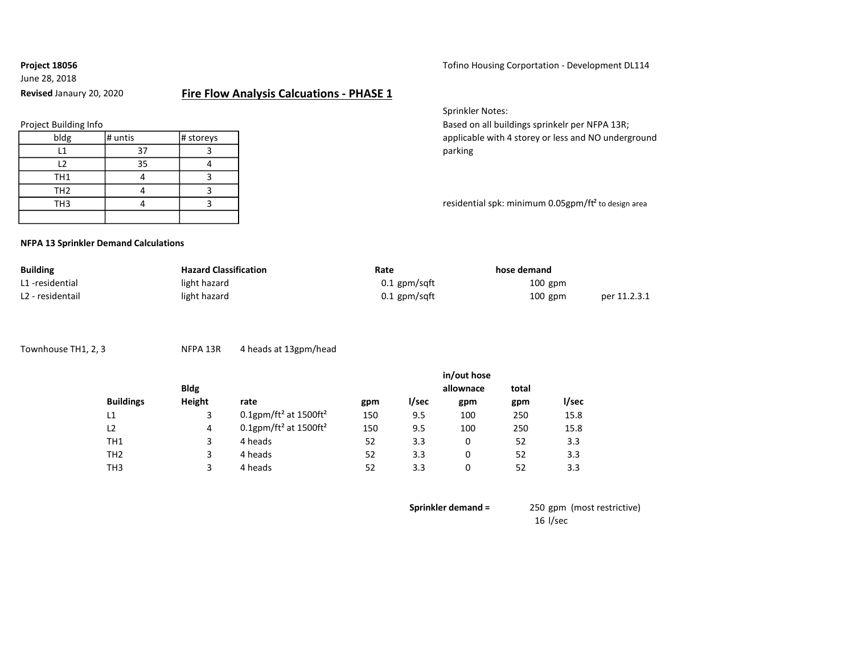### June 28, 2018

Project 18056 **Totilled Exception 2018** Tofino Housing Corportation - Development DL114

### Revised Janaury 20, 2020 Fire Flow Analysis Calcuations - PHASE 1

|  | Project Building Info |  |
|--|-----------------------|--|
|--|-----------------------|--|

Sprinkler Notes:

Based on all buildings sprinkelr per NFPA 13R; applicable with 4 storey or less and NO underground

residential spk: minimum 0.05gpm/ft<sup>2</sup> to design area

#### NFPA 13 Sprinkler Demand Calculations

| <b>Building</b>  | <b>Hazard Classification</b> | Rate           | hose demand |              |
|------------------|------------------------------|----------------|-------------|--------------|
| L1-residential   | light hazard                 | $0.1$ gpm/sqft | $100$ gpm   |              |
| L2 - residentail | light hazard                 | $0.1$ gpm/sqft | $100$ gpm   | per 11.2.3.1 |

Townhouse TH1, 2, 3 NFPA 13R 4 heads at 13gpm/head

|             |                                                  |     |       | in/out hose |       |       |
|-------------|--------------------------------------------------|-----|-------|-------------|-------|-------|
| <b>Bldg</b> |                                                  |     |       | allownace   | total |       |
| Height      | rate                                             | gpm | l/sec | gpm         | gpm   | l/sec |
|             | $0.1$ gpm/ft <sup>2</sup> at 1500ft <sup>2</sup> | 150 | 9.5   | 100         | 250   | 15.8  |
| 4           | $0.1$ gpm/ft <sup>2</sup> at 1500ft <sup>2</sup> | 150 | 9.5   | 100         | 250   | 15.8  |
| 3           | 4 heads                                          | 52  | 3.3   | 0           | 52    | 3.3   |
| 3           | 4 heads                                          | 52  | 3.3   | 0           | 52    | 3.3   |
|             | 4 heads                                          | 52  | 3.3   | 0           | 52    | 3.3   |
|             |                                                  |     |       |             |       |       |

Sprinkler demand = 250 gpm (most restrictive) 16 l/sec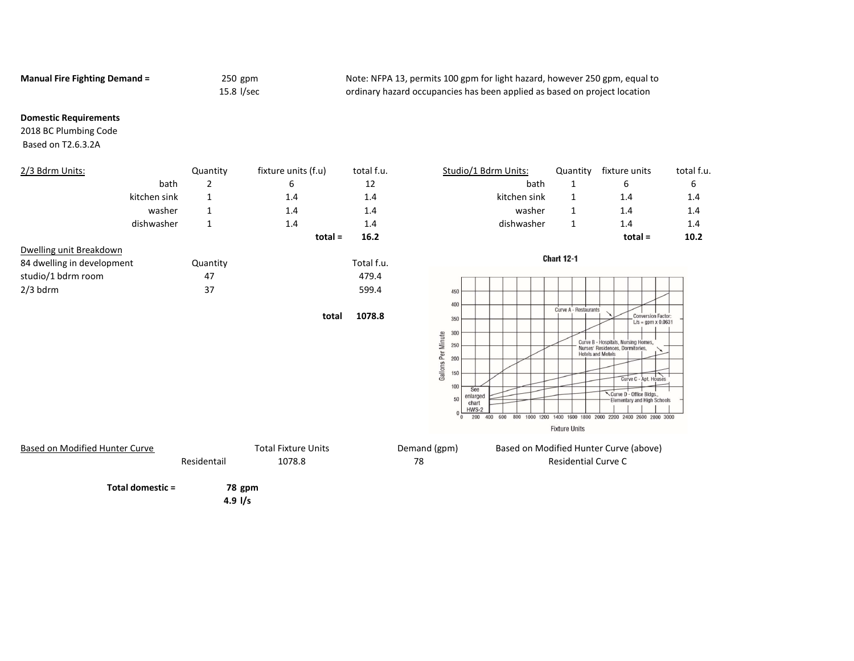Manual Fire Fighting Demand = 250 gpm 250 gpm Note: NFPA 13, permits 100 gpm for light hazard, however 250 gpm, equal to 15.8 l/sec ordinary hazard occupancies has been applied as based on project location

#### Domestic Requirements

2018 BC Plumbing Code Based on T2.6.3.2A

| 2/3 Bdrm Units:            | Quantity | fixture units (f.u) | total f.u. | Studio/1 Bdrm Units: | Quantity          | fixture units | total f |
|----------------------------|----------|---------------------|------------|----------------------|-------------------|---------------|---------|
| bath                       | ∠        | 6                   | 12         | bath                 |                   | 6             | 6       |
| kitchen sink               |          | $1.4^{\circ}$       | 1.4        | kitchen sink         |                   | 1.4           | 1.4     |
| washer                     | ᅩ        | 1.4                 | 1.4        | washer               |                   | 1.4           | 1.4     |
| dishwasher                 |          | 1.4                 | 1.4        | dishwasher           |                   | 1.4           | 1.4     |
|                            |          | $total =$           | 16.2       |                      |                   | $total =$     | 10.2    |
| Dwelling unit Breakdown    |          |                     |            |                      |                   |               |         |
| 84 dwelling in development | Quantity |                     | Total f.u. |                      | <b>Chart 12-1</b> |               |         |
| studio/1 bdrm room         | 47       |                     | 479.4      |                      |                   |               |         |
| $2/3$ bdrm                 | 37       |                     | 599.4      | 450                  |                   |               |         |

total 1078.8









4.9 l/s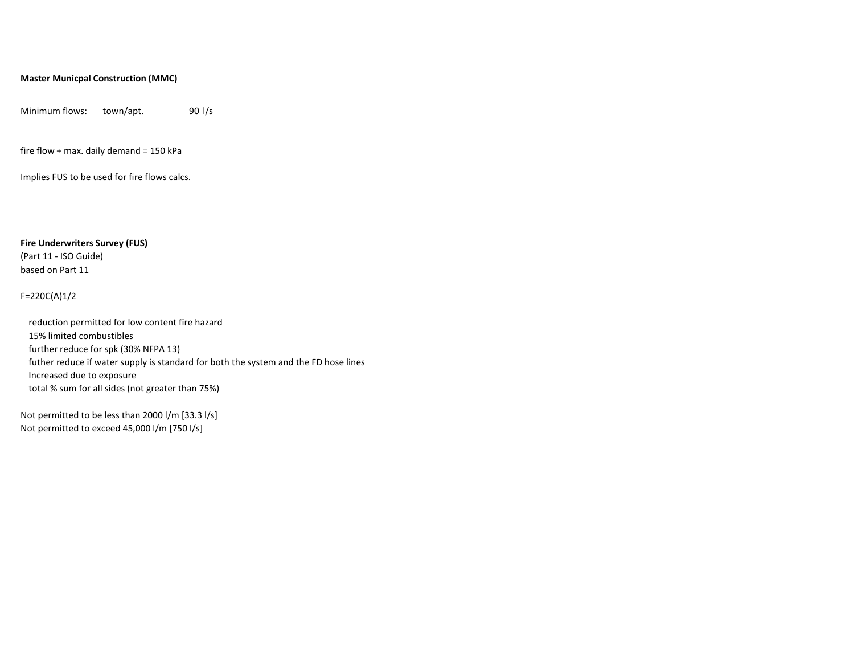#### Master Municpal Construction (MMC)

Minimum flows: town/apt. 90 l/s

fire flow + max. daily demand = 150 kPa

Implies FUS to be used for fire flows calcs.

Fire Underwriters Survey (FUS)

(Part 11 - ISO Guide) based on Part 11

#### F=220C(A)1/2

reduction permitted for low content fire hazard 15% limited combustibles further reduce for spk (30% NFPA 13) futher reduce if water supply is standard for both the system and the FD hose lines Increased due to exposure total % sum for all sides (not greater than 75%)

Not permitted to be less than 2000 l/m [33.3 l/s] Not permitted to exceed 45,000 l/m [750 l/s]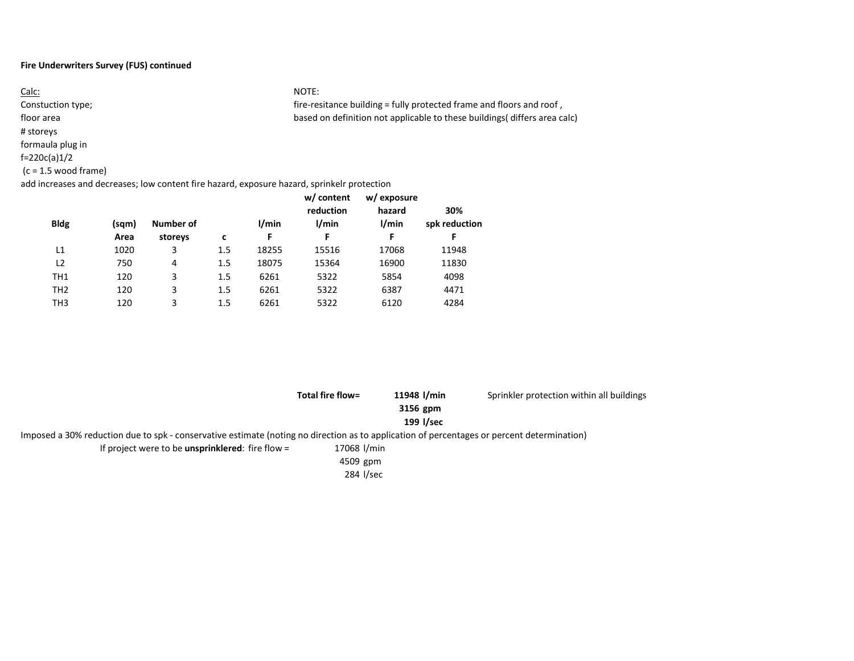#### Fire Underwriters Survey (FUS) continued

Calc: NOTE: Constuction type; https://www.fire-resitance building = fully protected frame and floors and roof , floor area based on definition not applicable to these buildings( differs area calc) # storeys formaula plug in f=220c(a)1/2 (c = 1.5 wood frame) add increases and decreases; low content fire hazard, exposure hazard, sprinkelr protection

| <b>Bldg</b>     | (sqm)<br>Area | Number of<br>storeys | c   | 1/min<br>F | w/ content<br>reduction<br>l/min<br>F | w/ exposure<br>hazard<br>1/min<br>F | 30%<br>spk reduction<br>F |
|-----------------|---------------|----------------------|-----|------------|---------------------------------------|-------------------------------------|---------------------------|
|                 |               |                      |     |            |                                       |                                     |                           |
| L1              | 1020          | 3                    | 1.5 | 18255      | 15516                                 | 17068                               | 11948                     |
| L2              | 750           | 4                    | 1.5 | 18075      | 15364                                 | 16900                               | 11830                     |
| TH1             | 120           | 3                    | 1.5 | 6261       | 5322                                  | 5854                                | 4098                      |
| TH <sub>2</sub> | 120           | 3                    | 1.5 | 6261       | 5322                                  | 6387                                | 4471                      |
| ТНЗ             | 120           | 3                    | 1.5 | 6261       | 5322                                  | 6120                                | 4284                      |

|                                                                                                                                            | Total fire flow= | 11948 l/min | Sprinkler protection within all buildings |
|--------------------------------------------------------------------------------------------------------------------------------------------|------------------|-------------|-------------------------------------------|
|                                                                                                                                            |                  | 3156 gpm    |                                           |
|                                                                                                                                            |                  | 199 I/sec   |                                           |
| Imposed a 30% reduction due to spk - conservative estimate (noting no direction as to application of percentages or percent determination) |                  |             |                                           |
| If project were to be <b>unsprinklered</b> : fire flow $=$                                                                                 | 17068 l/min      |             |                                           |
|                                                                                                                                            | 4509 gpm         |             |                                           |
|                                                                                                                                            | 284 l/sec        |             |                                           |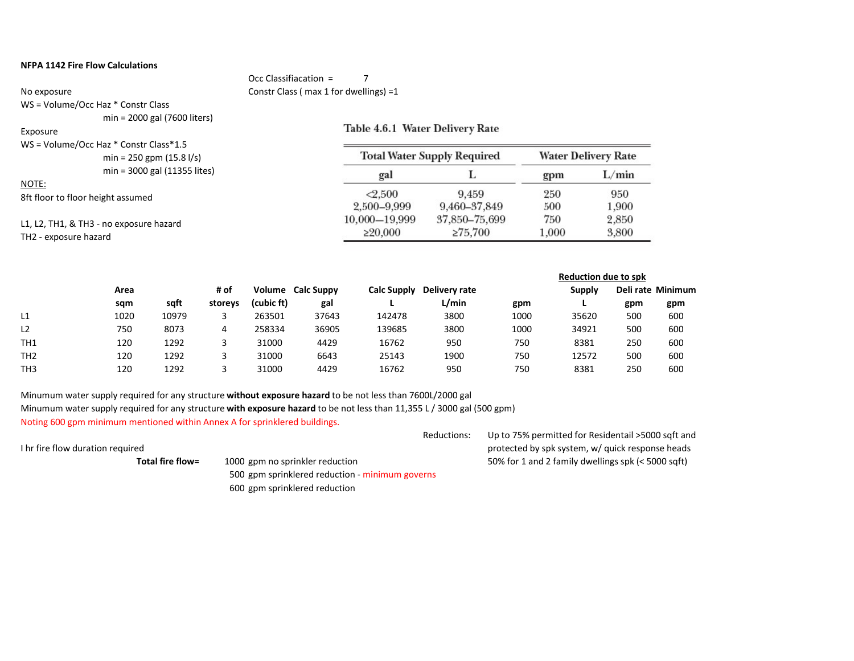#### NFPA 1142 Fire Flow Calculations

#### Occ Classifiacation = 7 No exposure Constr Class ( max 1 for dwellings) =1

WS = Volume/Occ Haz \* Constr Class min = 2000 gal (7600 liters)

#### Exposure

### Table 4.6.1 Water Delivery Rate

| WS = Volume/Occ Haz * Constr Class * 1.5<br>$min = 250$ gpm $(15.8 \frac{\text{I}}{\text{s}})^2$ | <b>Total Water Supply Required</b> | <b>Water Delivery Rate</b> |       |       |
|--------------------------------------------------------------------------------------------------|------------------------------------|----------------------------|-------|-------|
| min = 3000 gal (11355 lites)                                                                     | gal                                |                            | gpm   | L/min |
| NOTE:                                                                                            | < 2.500                            | 9.459                      | 250   | 950   |
| 8ft floor to floor height assumed                                                                | 2,500–9,999                        | 9,460–37,849               | 500   | 1,900 |
| L1, L2, TH1, & TH3 - no exposure hazard                                                          | 10,000-19,999                      | 37,850-75,699              | 750   | 2,850 |
| TH2 - exposure hazard                                                                            | $\geq 20,000$                      | $\geq 75,700$              | 1,000 | 3,800 |

|                 |      |       |         |            |                          |                    |               |      | <b>Reduction due to spk</b> |     |                   |
|-----------------|------|-------|---------|------------|--------------------------|--------------------|---------------|------|-----------------------------|-----|-------------------|
|                 | Area |       | # of    |            | <b>Volume</b> Calc Suppy | <b>Calc Supply</b> | Delivery rate |      | <b>Supply</b>               |     | Deli rate Minimum |
|                 | sqm  | saft  | storeys | (cubic ft) | gal                      |                    | L/min         | gpm  |                             | gpm | gpm               |
| L1              | 1020 | 10979 |         | 263501     | 37643                    | 142478             | 3800          | 1000 | 35620                       | 500 | 600               |
| L <sub>2</sub>  | 750  | 8073  | 4       | 258334     | 36905                    | 139685             | 3800          | 1000 | 34921                       | 500 | 600               |
| TH <sub>1</sub> | 120  | 1292  |         | 31000      | 4429                     | 16762              | 950           | 750  | 8381                        | 250 | 600               |
| TH <sub>2</sub> | 120  | 1292  |         | 31000      | 6643                     | 25143              | 1900          | 750  | 12572                       | 500 | 600               |
| TH <sub>3</sub> | 120  | 1292  |         | 31000      | 4429                     | 16762              | 950           | 750  | 8381                        | 250 | 600               |

Minumum water supply required for any structure without exposure hazard to be not less than 7600L/2000 gal Minumum water supply required for any structure with exposure hazard to be not less than 11,355 L / 3000 gal (500 gpm) Noting 600 gpm minimum mentioned within Annex A for sprinklered buildings.

Reductions: Up to 75% permitted for Residentail >5000 sqft and I hr fire flow duration required protected by spk system, w/ quick response heads Total fire flow= 1000 gpm no sprinkler reduction 50% for 1 and 2 family dwellings spk (< 5000 sqft) 500 gpm sprinklered reduction - minimum governs 600 gpm sprinklered reduction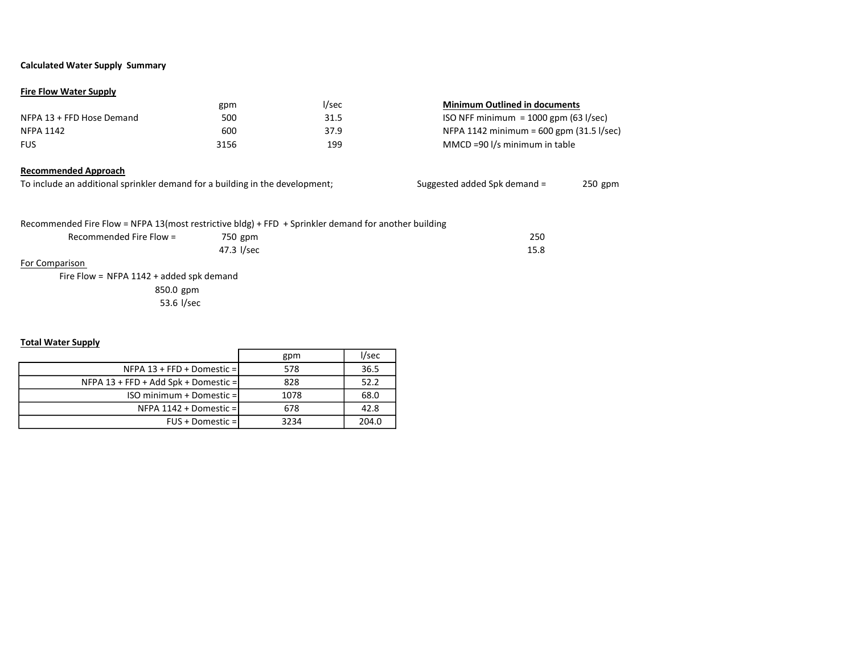#### Calculated Water Supply Summary

#### Fire Flow Water Supply

|                           | gpm  | l/sec | <b>Minimum Outlined in documents</b>       |
|---------------------------|------|-------|--------------------------------------------|
| NFPA 13 + FFD Hose Demand | 500  | 31.5  | ISO NFF minimum = $1000$ gpm (63 I/sec)    |
| NFPA 1142                 | 600  | 37.9  | NFPA 1142 minimum = $600$ gpm (31.5 l/sec) |
| <b>FUS</b>                | 3156 | 199   | MMCD =90 l/s minimum in table              |

#### Recommended Approach

| To include an additional sprinkler demand for a building in the development; | Suggested added Spk demand = | 250 gpm |
|------------------------------------------------------------------------------|------------------------------|---------|
|------------------------------------------------------------------------------|------------------------------|---------|

Recommended Fire Flow = NFPA 13(most restrictive bldg) + FFD + Sprinkler demand for another building

| Recommended Fire Flow = | 750 gpm    | 250  |
|-------------------------|------------|------|
|                         | 47.3 l/sec | 15.8 |

#### For Comparison

Fire Flow = NFPA 1142 + added spk demand 850.0 gpm 53.6 l/sec

#### Total Water Supply

|                                        | gpm  | l/sec |
|----------------------------------------|------|-------|
| NFPA $13$ + FFD + Domestic =           | 578  | 36.5  |
| NFPA $13$ + FFD + Add Spk + Domestic = | 828  | 52.2  |
| ISO minimum + Domestic = I             | 1078 | 68.0  |
| NFPA 1142 + Domestic =1                | 678  | 42.8  |
| FUS + Domestic =1                      | 3234 | 204.0 |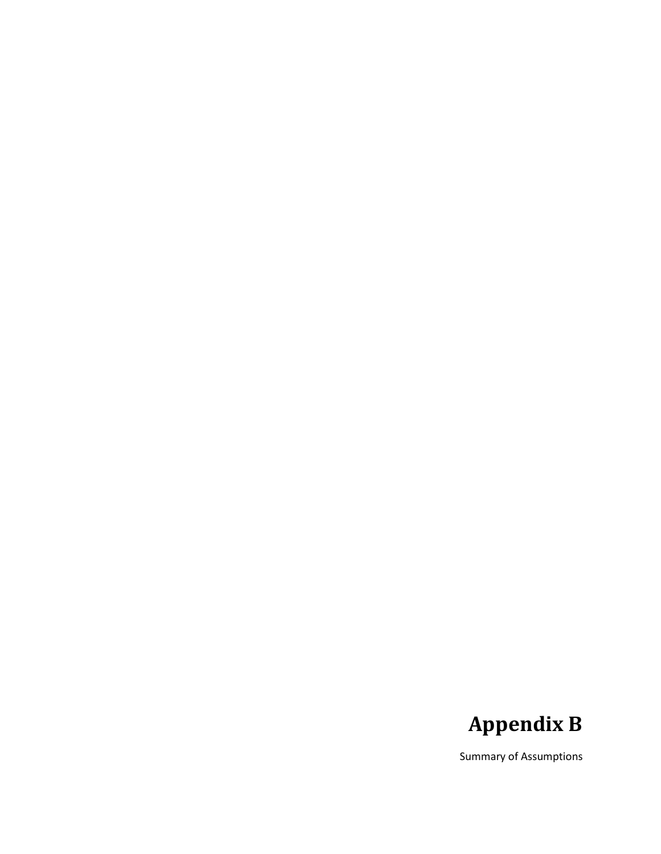## Appendix B

Summary of Assumptions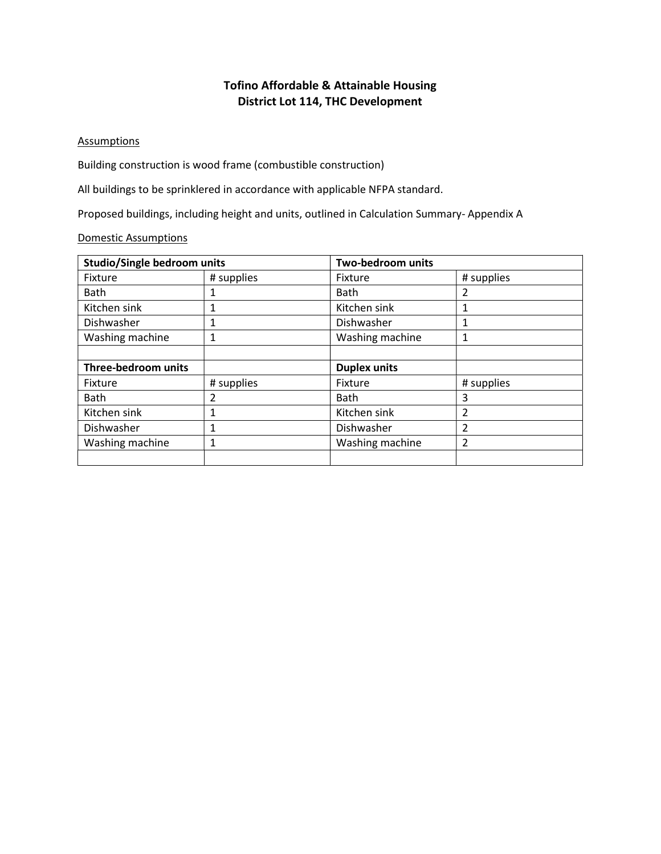### Tofino Affordable & Attainable Housing District Lot 114, THC Development

#### **Assumptions**

Building construction is wood frame (combustible construction)

All buildings to be sprinklered in accordance with applicable NFPA standard.

Proposed buildings, including height and units, outlined in Calculation Summary- Appendix A

### Domestic Assumptions

| <b>Studio/Single bedroom units</b> |            | Two-bedroom units   |            |  |
|------------------------------------|------------|---------------------|------------|--|
| Fixture                            | # supplies | Fixture             | # supplies |  |
| Bath                               |            | <b>Bath</b>         | 2          |  |
| Kitchen sink                       | 1          | Kitchen sink        |            |  |
| Dishwasher                         | 1          | Dishwasher          |            |  |
| Washing machine                    |            | Washing machine     | 1          |  |
|                                    |            |                     |            |  |
| Three-bedroom units                |            | <b>Duplex units</b> |            |  |
| Fixture                            | # supplies | Fixture             | # supplies |  |
| <b>Bath</b>                        | 2          | <b>Bath</b>         | 3          |  |
| Kitchen sink                       | 1          | Kitchen sink        | 2          |  |
| Dishwasher                         | 1          | Dishwasher          | 2          |  |
| Washing machine                    | 1          | Washing machine     | 2          |  |
|                                    |            |                     |            |  |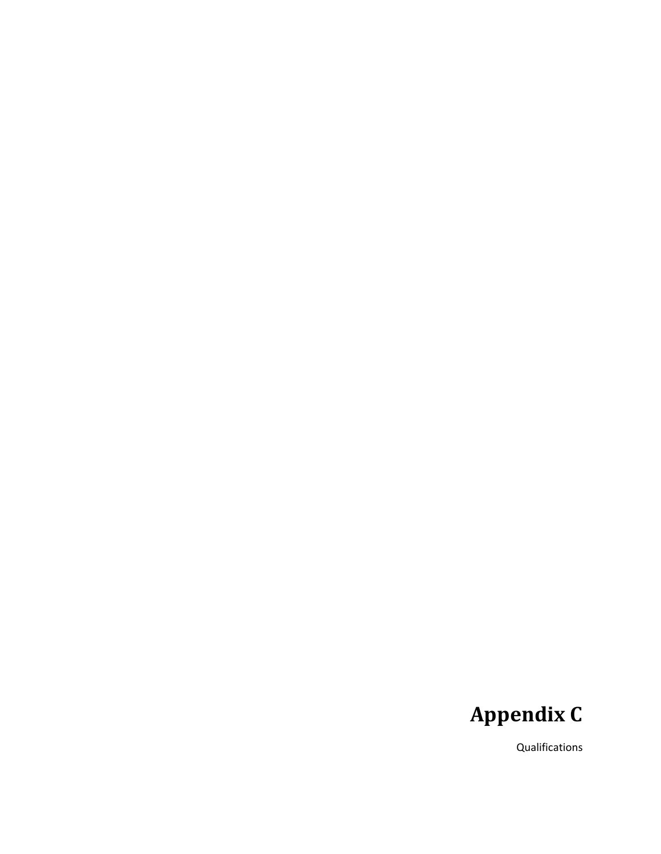## Appendix C

Qualifications